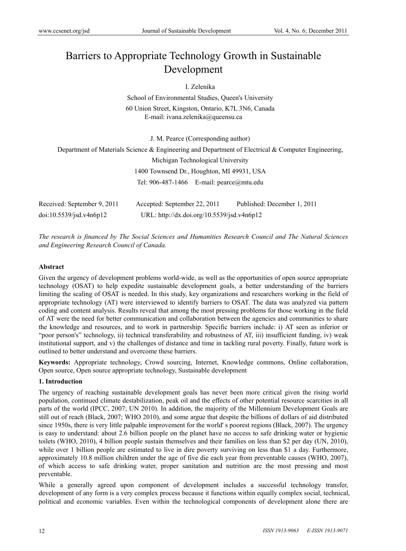# Barriers to Appropriate Technology Growth in Sustainable Development

I. Zelenika

School of Environmental Studies, Queen's University 60 Union Street, Kingston, Ontario, K7L 3N6, Canada E-mail: ivana.zelenika@queensu.ca

|                                            | J. M. Pearce (Corresponding author)        |                                                                                                    |
|--------------------------------------------|--------------------------------------------|----------------------------------------------------------------------------------------------------|
|                                            |                                            | Department of Materials Science & Engineering and Department of Electrical & Computer Engineering, |
|                                            | Michigan Technological University          |                                                                                                    |
| 1400 Townsend Dr., Houghton, MI 49931, USA |                                            |                                                                                                    |
|                                            | Tel: 906-487-1466 E-mail: pearce@mtu.edu   |                                                                                                    |
| Received: September 9, 2011                | Accepted: September 22, 2011               | Published: December 1, 2011                                                                        |
| doi:10.5539/jsd.v4n6p12                    | URL: http://dx.doi.org/10.5539/jsd.v4n6p12 |                                                                                                    |

*The research is financed by The Social Sciences and Humanities Research Council and The Natural Sciences and Engineering Research Council of Canada.* 

# **Abstract**

Given the urgency of development problems world-wide, as well as the opportunities of open source appropriate technology (OSAT) to help expedite sustainable development goals, a better understanding of the barriers limiting the scaling of OSAT is needed. In this study, key organizations and researchers working in the field of appropriate technology (AT) were interviewed to identify barriers to OSAT. The data was analyzed via pattern coding and content analysis. Results reveal that among the most pressing problems for those working in the field of AT were the need for better communication and collaboration between the agencies and communities to share the knowledge and resources, and to work in partnership. Specific barriers include: i) AT seen as inferior or "poor person's" technology, ii) technical transferability and robustness of AT, iii) insufficient funding, iv) weak institutional support, and v) the challenges of distance and time in tackling rural poverty. Finally, future work is outlined to better understand and overcome these barriers.

**Keywords:** Appropriate technology, Crowd sourcing, Internet, Knowledge commons, Online collaboration, Open source, Open source appropriate technology, Sustainable development

# **1. Introduction**

The urgency of reaching sustainable development goals has never been more critical given the rising world population, continued climate destabilization, peak oil and the effects of other potential resource scarcities in all parts of the world (IPCC, 2007; UN 2010). In addition, the majority of the Millennium Development Goals are still out of reach (Black, 2007; WHO 2010), and some argue that despite the billions of dollars of aid distributed since 1950s, there is very little palpable improvement for the world' s poorest regions (Black, 2007). The urgency is easy to understand: about 2.6 billion people on the planet have no access to safe drinking water or hygienic toilets (WHO, 2010), 4 billion people sustain themselves and their families on less than \$2 per day (UN, 2010), while over 1 billion people are estimated to live in dire poverty surviving on less than \$1 a day. Furthermore, approximately 10.8 million children under the age of five die each year from preventable causes (WHO, 2007), of which access to safe drinking water, proper sanitation and nutrition are the most pressing and most preventable.

While a generally agreed upon component of development includes a successful technology transfer, development of any form is a very complex process because it functions within equally complex social, technical, political and economic variables. Even within the technological components of development alone there are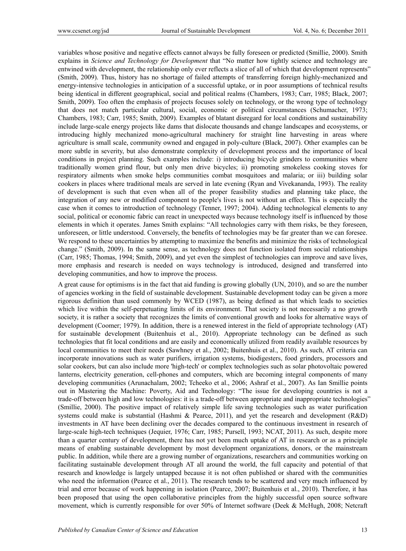variables whose positive and negative effects cannot always be fully foreseen or predicted (Smillie, 2000). Smith explains in *Science and Technology for Development* that "No matter how tightly science and technology are entwined with development, the relationship only ever reflects a slice of all of which that development represents" (Smith, 2009). Thus, history has no shortage of failed attempts of transferring foreign highly-mechanized and energy-intensive technologies in anticipation of a successful uptake, or in poor assumptions of technical results being identical in different geographical, social and political realms (Chambers, 1983; Carr, 1985; Black, 2007; Smith, 2009). Too often the emphasis of projects focuses solely on technology, or the wrong type of technology that does not match particular cultural, social, economic or political circumstances (Schumacher, 1973; Chambers, 1983; Carr, 1985; Smith, 2009). Examples of blatant disregard for local conditions and sustainability include large-scale energy projects like dams that dislocate thousands and change landscapes and ecosystems, or introducing highly mechanized mono-agricultural machinery for straight line harvesting in areas where agriculture is small scale, community owned and engaged in poly-culture (Black, 2007). Other examples can be more subtle in severity, but also demonstrate complexity of development process and the importance of local conditions in project planning. Such examples include: i) introducing bicycle grinders to communities where traditionally women grind flour, but only men drive bicycles; ii) promoting smokeless cooking stoves for respiratory ailments when smoke helps communities combat mosquitoes and malaria; or iii) building solar cookers in places where traditional meals are served in late evening (Ryan and Vivekananda, 1993). The reality of development is such that even when all of the proper feasibility studies and planning take place, the integration of any new or modified component to people's lives is not without an effect. This is especially the case when it comes to introduction of technology (Tenner, 1997; 2004). Adding technological elements to any social, political or economic fabric can react in unexpected ways because technology itself is influenced by those elements in which it operates. James Smith explains: "All technologies carry with them risks, be they foreseen, unforeseen, or little understood. Conversely, the benefits of technologies may be far greater than we can foresee. We respond to these uncertainties by attempting to maximize the benefits and minimize the risks of technological change." (Smith, 2009). In the same sense, as technology does not function isolated from social relationships (Carr, 1985; Thomas, 1994; Smith, 2009), and yet even the simplest of technologies can improve and save lives, more emphasis and research is needed on ways technology is introduced, designed and transferred into developing communities, and how to improve the process.

A great cause for optimisms is in the fact that aid funding is growing globally (UN, 2010), and so are the number of agencies working in the field of sustainable development. Sustainable development today can be given a more rigorous definition than used commonly by WCED (1987), as being defined as that which leads to societies which live within the self-perpetuating limits of its environment. That society is not necessarily a no growth society, it is rather a society that recognizes the limits of conventional growth and looks for alternative ways of development (Coomer; 1979). In addition, there is a renewed interest in the field of appropriate technology (AT) for sustainable development (Buitenhuis et al., 2010). Appropriate technology can be defined as such technologies that fit local conditions and are easily and economically utilized from readily available resources by local communities to meet their needs (Sawhney et al., 2002; Buitenhuis et al., 2010). As such, AT criteria can incorporate innovations such as water purifiers, irrigation systems, biodigesters, food grinders, processors and solar cookers, but can also include more 'high-tech' or complex technologies such as solar photovoltaic powered lanterns, electricity generation, cell-phones and computers, which are becoming integral components of many developing communities (Arunachalam, 2002; Tcheeko et al., 2006; Ashraf et al., 2007). As Ian Smillie points out in Mastering the Machine: Poverty, Aid and Technology: "The issue for developing countries is not a trade-off between high and low technologies: it is a trade-off between appropriate and inappropriate technologies" (Smillie, 2000). The positive impact of relatively simple life saving technologies such as water purification systems could make is substantial (Hashmi & Pearce, 2011), and yet the research and development (R&D) investments in AT have been declining over the decades compared to the continuous investment in research of large-scale high-tech techniques (Jequier, 1976; Carr, 1985; Pursell, 1993; NCAT, 2011). As such, despite more than a quarter century of development, there has not yet been much uptake of AT in research or as a principle means of enabling sustainable development by most development organizations, donors, or the mainstream public. In addition, while there are a growing number of organizations, researchers and communities working on facilitating sustainable development through AT all around the world, the full capacity and potential of that research and knowledge is largely untapped because it is not often published or shared with the communities who need the information (Pearce et al., 2011). The research tends to be scattered and very much influenced by trial and error because of work happening in isolation (Pearce, 2007; Buitenhuis et al., 2010). Therefore, it has been proposed that using the open collaborative principles from the highly successful open source software movement, which is currently responsible for over 50% of Internet software (Deek & McHugh, 2008; Netcraft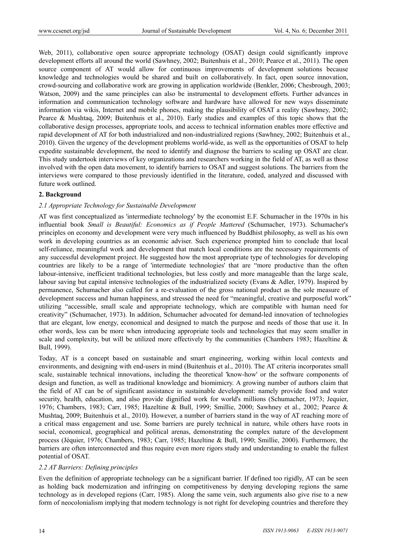Web, 2011), collaborative open source appropriate technology (OSAT) design could significantly improve development efforts all around the world (Sawhney, 2002; Buitenhuis et al., 2010; Pearce et al., 2011). The open source component of AT would allow for continuous improvements of development solutions because knowledge and technologies would be shared and built on collaboratively. In fact, open source innovation, crowd-sourcing and collaborative work are growing in application worldwide (Benkler, 2006; Chesbrough, 2003; Watson, 2009) and the same principles can also be instrumental to development efforts. Further advances in information and communication technology software and hardware have allowed for new ways disseminate information via wikis, Internet and mobile phones, making the plausibility of OSAT a reality (Sawhney, 2002; Pearce & Mushtaq, 2009; Buitenhuis et al., 2010). Early studies and examples of this topic shows that the collaborative design processes, appropriate tools, and access to technical information enables more effective and rapid development of AT for both industrialized and non-industrialized regions (Sawhney, 2002; Buitenhuis et al., 2010). Given the urgency of the development problems world-wide, as well as the opportunities of OSAT to help expedite sustainable development, the need to identify and diagnose the barriers to scaling up OSAT are clear. This study undertook interviews of key organizations and researchers working in the field of AT, as well as those involved with the open data movement, to identify barriers to OSAT and suggest solutions. The barriers from the interviews were compared to those previously identified in the literature, coded, analyzed and discussed with future work outlined.

#### **2. Background**

#### *2.1 Appropriate Technology for Sustainable Development*

AT was first conceptualized as 'intermediate technology' by the economist E.F. Schumacher in the 1970s in his influential book *Small is Beautiful: Economics as if People Mattered* (Schumacher, 1973). Schumacher's principles on economy and development were very much influenced by Buddhist philosophy, as well as his own work in developing countries as an economic adviser. Such experience prompted him to conclude that local self-reliance, meaningful work and development that match local conditions are the necessary requirements of any successful development project. He suggested how the most appropriate type of technologies for developing countries are likely to be a range of 'intermediate technologies' that are "more productive than the often labour-intensive, inefficient traditional technologies, but less costly and more manageable than the large scale, labour saving but capital intensive technologies of the industrialized society (Evans & Adler, 1979). Inspired by permanence, Schumacher also called for a re-evaluation of the gross national product as the sole measure of development success and human happiness, and stressed the need for "meaningful, creative and purposeful work" utilizing "accessible, small scale and appropriate technology, which are compatible with human need for creativity" (Schumacher, 1973). In addition, Schumacher advocated for demand-led innovation of technologies that are elegant, low energy, economical and designed to match the purpose and needs of those that use it. In other words, less can be more when introducing appropriate tools and technologies that may seem smaller in scale and complexity, but will be utilized more effectively by the communities (Chambers 1983; Hazeltine & Bull, 1999).

Today, AT is a concept based on sustainable and smart engineering, working within local contexts and environments, and designing with end-users in mind (Buitenhuis et al., 2010). The AT criteria incorporates small scale, sustainable technical innovations, including the theoretical 'know-how' or the software components of design and function, as well as traditional knowledge and biomimicry. A growing number of authors claim that the field of AT can be of significant assistance in sustainable development: namely provide food and water security, health, education, and also provide dignified work for world's millions (Schumacher, 1973; Jequier, 1976; Chambers, 1983; Carr, 1985; Hazeltine & Bull, 1999; Smillie, 2000; Sawhney et al., 2002; Pearce & Mushtaq, 2009; Buitenhuis et al., 2010). However, a number of barriers stand in the way of AT reaching more of a critical mass engagement and use. Some barriers are purely technical in nature, while others have roots in social, economical, geographical and political arenas, demonstrating the complex nature of the development process (Jéquier, 1976; Chambers, 1983; Carr, 1985; Hazeltine & Bull, 1990; Smillie, 2000). Furthermore, the barriers are often interconnected and thus require even more rigors study and understanding to enable the fullest potential of OSAT.

## *2.2 AT Barriers: Defining principles*

Even the definition of appropriate technology can be a significant barrier. If defined too rigidly, AT can be seen as holding back modernization and infringing on competitiveness by denying developing regions the same technology as in developed regions (Carr, 1985). Along the same vein, such arguments also give rise to a new form of neocolonialism implying that modern technology is not right for developing countries and therefore they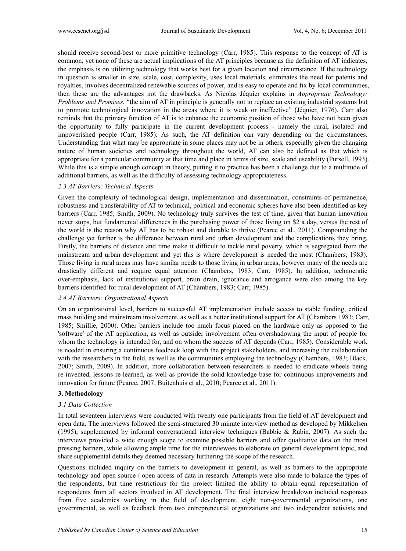should receive second-best or more primitive technology (Carr, 1985). This response to the concept of AT is common, yet none of these are actual implications of the AT principles because as the definition of AT indicates, the emphasis is on utilizing technology that works best for a given location and circumstance. If the technology in question is smaller in size, scale, cost, complexity, uses local materials, eliminates the need for patents and royalties, involves decentralized renewable sources of power, and is easy to operate and fix by local communities, then these are the advantages not the drawbacks. As Nicolas Jéquier explains in *Appropriate Technology: Problems and Promises*, "the aim of AT in principle is generally not to replace an existing industrial systems but to promote technological innovation in the areas where it is weak or ineffective" (Jéquier, 1976). Carr also reminds that the primary function of AT is to enhance the economic position of those who have not been given the opportunity to fully participate in the current development process - namely the rural, isolated and impoverished people (Carr, 1985). As such, the AT definition can vary depending on the circumstances. Understanding that what may be appropriate in some places may not be in others, especially given the changing nature of human societies and technology throughout the world, AT can also be defined as that which is appropriate for a particular community at that time and place in terms of size, scale and useability (Pursell, 1993). While this is a simple enough concept in theory, putting it to practice has been a challenge due to a multitude of additional barriers, as well as the difficulty of assessing technology appropriateness.

## *2.3 AT Barriers: Technical Aspects*

Given the complexity of technological design, implementation and dissemination, constraints of permanence, robustness and transferability of AT to technical, political and economic spheres have also been identified as key barriers (Carr, 1985; Smith, 2009). No technology truly survives the test of time, given that human innovation never stops, but fundamental differences in the purchasing power of those living on \$2 a day, versus the rest of the world is the reason why AT has to be robust and durable to thrive (Pearce et al., 2011). Compounding the challenge yet further is the difference between rural and urban development and the complications they bring. Firstly, the barriers of distance and time make it difficult to tackle rural poverty, which is segregated from the mainstream and urban development and yet this is where development is needed the most (Chambers, 1983). Those living in rural areas may have similar needs to those living in urban areas, however many of the needs are drastically different and require equal attention (Chambers, 1983; Carr, 1985). In addition, technocratic over-emphasis, lack of institutional support, brain drain, ignorance and arrogance were also among the key barriers identified for rural development of AT (Chambers, 1983; Carr, 1985).

## *2.4 AT Barriers: Organizational Aspects*

On an organizational level, barriers to successful AT implementation include access to stable funding, critical mass building and mainstream involvement, as well as a better institutional support for AT (Chambers 1983; Carr, 1985; Smillie, 2000). Other barriers include too much focus placed on the hardware only as opposed to the 'software' of the AT application, as well as outsider involvement often overshadowing the input of people for whom the technology is intended for, and on whom the success of AT depends (Carr, 1985). Considerable work is needed in ensuring a continuous feedback loop with the project stakeholders, and increasing the collaboration with the researchers in the field, as well as the communities employing the technology (Chambers, 1983; Black, 2007; Smith, 2009). In addition, more collaboration between researchers is needed to eradicate wheels being re-invented, lessons re-learned, as well as provide the solid knowledge base for continuous improvements and innovation for future (Pearce, 2007; Buitenhuis et al., 2010; Pearce et al., 2011).

# **3. Methodology**

## *3.1 Data Collection*

In total seventeen interviews were conducted with twenty one participants from the field of AT development and open data. The interviews followed the semi-structured 30 minute interview method as developed by Mikkelsen (1995), supplemented by informal conversational interview techniques (Babbie & Rubin, 2007). As such the interviews provided a wide enough scope to examine possible barriers and offer qualitative data on the most pressing barriers, while allowing ample time for the interviewees to elaborate on general development topic, and share supplemental details they deemed necessary furthering the scope of the research.

Questions included inquiry on the barriers to development in general, as well as barriers to the appropriate technology and open source / open access of data in research. Attempts were also made to balance the types of the respondents, but time restrictions for the project limited the ability to obtain equal representation of respondents from all sectors involved in AT development. The final interview breakdown included responses from five academics working in the field of development, eight non-governmental organizations, one governmental, as well as feedback from two entrepreneurial organizations and two independent activists and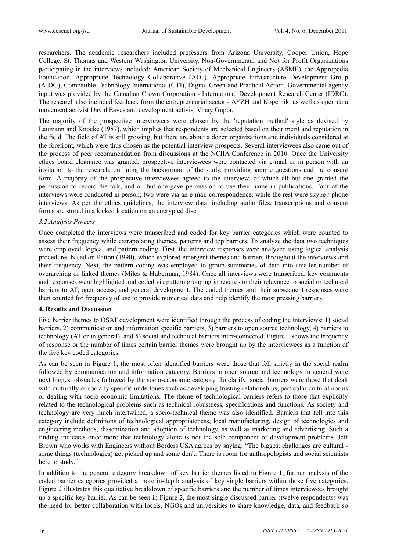researchers. The academic researchers included professors from Arizona University, Cooper Union, Hope College, St. Thomas and Western Washington University. Non-Governmental and Not for Profit Organizations participating in the interviews included: American Society of Mechanical Engineers (ASME), the Appropedia Foundation, Appropriate Technology Collaborative (ATC), Appropriate Infrastructure Development Group (AIDG), Compatible Technology International (CTI), Digital Green and Practical Action. Governmental agency input was provided by the Canadian Crown Corporation - International Development Research Center (IDRC). The research also included feedback from the entrepreneurial sector - AYZH and Kopernik, as well as open data movement activist David Eaves and development activist Vinay Gupta.

The majority of the prospective interviewees were chosen by the 'reputation method' style as devised by Laumann and Knocke (1987), which implies that respondents are selected based on their merit and reputation in the field. The field of AT is still growing, but there are about a dozen organizations and individuals considered at the forefront, which were thus chosen as the potential interview prospects. Several interviewees also came out of the process of peer recommendation from discussions at the NCIIA Conference in 2010. Once the University ethics board clearance was granted, prospective interviewees were contacted via e-mail or in person with an invitation to the research, outlining the background of the study, providing sample questions and the consent form. A majority of the prospective interviewees agreed to the interview, of which all but one granted the permission to record the talk, and all but one gave permission to use their name in publications. Four of the interviews were conducted in person; two were via an e-mail correspondence, while the rest were skype / phone interviews. As per the ethics guidelines, the interview data, including audio files, transcriptions and consent forms are stored in a locked location on an encrypted disc.

#### *3.2 Analysis Process*

Once completed the interviews were transcribed and coded for key barrier categories which were counted to assess their frequency while extrapolating themes, patterns and top barriers. To analyze the data two techniques were employed: logical and pattern coding. First, the interview responses were analyzed using logical analysis procedures based on Patton (1990), which explored emergent themes and barriers throughout the interviews and their frequency. Next, the pattern coding was employed to group summaries of data into smaller number of overarching or linked themes (Miles & Huberman, 1984). Once all interviews were transcribed, key comments and responses were highlighted and coded via pattern grouping in regards to their relevance to social or technical barriers to AT, open access, and general development. The coded themes and their subsequent responses were then counted for frequency of use to provide numerical data and help identify the most pressing barriers.

## **4. Results and Discussion**

Five barrier themes to OSAT development were identified through the process of coding the interviews: 1) social barriers, 2) communication and information specific barriers, 3) barriers to open source technology, 4) barriers to technology (AT or in general), and 5) social and technical barriers inter-connected. Figure 1 shows the frequency of response or the number of times certain barrier themes were brought up by the interviewees as a function of the five key coded categories.

As can be seen in Figure 1, the most often identified barriers were those that fell strictly in the social realm followed by communication and information category. Barriers to open source and technology in general were next biggest obstacles followed by the socio-economic category. To clarify: social barriers were those that dealt with culturally or socially specific undertones such as developing trusting relationships, particular cultural norms or dealing with socio-economic limitations. The theme of technological barriers refers to those that explicitly related to the technological problems such as technical robustness, specifications and functions. As society and technology are very much intertwined, a socio-technical theme was also identified. Barriers that fell into this category include definitions of technological appropriateness, local manufacturing, design of technologies and engineering methods, dissemination and adoption of technology, as well as marketing and advertising. Such a finding indicates once more that technology alone is not the sole component of development problems. Jeff Brown who works with Engineers without Borders USA agrees by saying: "The biggest challenges are cultural some things (technologies) get picked up and some don't. There is room for anthropologists and social scientists here to study."

In addition to the general category breakdown of key barrier themes listed in Figure 1, further analysis of the coded barrier categories provided a more in-depth analysis of key single barriers within those five categories. Figure 2 illustrates this qualitative breakdown of specific barriers and the number of times interviewees brought up a specific key barrier. As can be seen in Figure 2, the most single discussed barrier (twelve respondents) was the need for better collaboration with locals, NGOs and universities to share knowledge, data, and feedback so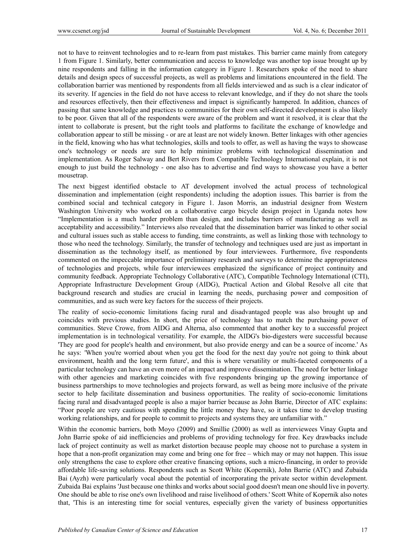not to have to reinvent technologies and to re-learn from past mistakes. This barrier came mainly from category 1 from Figure 1. Similarly, better communication and access to knowledge was another top issue brought up by nine respondents and falling in the information category in Figure 1. Researchers spoke of the need to share details and design specs of successful projects, as well as problems and limitations encountered in the field. The collaboration barrier was mentioned by respondents from all fields interviewed and as such is a clear indicator of its severity. If agencies in the field do not have access to relevant knowledge, and if they do not share the tools and resources effectively, then their effectiveness and impact is significantly hampered. In addition, chances of passing that same knowledge and practices to communities for their own self-directed development is also likely to be poor. Given that all of the respondents were aware of the problem and want it resolved, it is clear that the intent to collaborate is present, but the right tools and platforms to facilitate the exchange of knowledge and collaboration appear to still be missing - or are at least are not widely known. Better linkages with other agencies in the field, knowing who has what technologies, skills and tools to offer, as well as having the ways to showcase one's technology or needs are sure to help minimize problems with technological dissemination and implementation. As Roger Salway and Bert Rivers from Compatible Technology International explain, it is not enough to just build the technology - one also has to advertise and find ways to showcase you have a better mousetrap.

The next biggest identified obstacle to AT development involved the actual process of technological dissemination and implementation (eight respondents) including the adoption issues. This barrier is from the combined social and technical category in Figure 1. Jason Morris, an industrial designer from Western Washington University who worked on a collaborative cargo bicycle design project in Uganda notes how "Implementation is a much harder problem than design, and includes barriers of manufacturing as well as acceptability and accessibility." Interviews also revealed that the dissemination barrier was linked to other social and cultural issues such as stable access to funding, time constraints, as well as linking those with technology to those who need the technology. Similarly, the transfer of technology and techniques used are just as important in dissemination as the technology itself, as mentioned by four interviewees. Furthermore, five respondents commented on the impeccable importance of preliminary research and surveys to determine the appropriateness of technologies and projects, while four interviewees emphasized the significance of project continuity and community feedback. Appropriate Technology Collaborative (ATC), Compatible Technology International (CTI), Appropriate Infrastructure Development Group (AIDG), Practical Action and Global Resolve all cite that background research and studies are crucial in learning the needs, purchasing power and composition of communities, and as such were key factors for the success of their projects.

The reality of socio-economic limitations facing rural and disadvantaged people was also brought up and coincides with previous studies. In short, the price of technology has to match the purchasing power of communities. Steve Crowe, from AIDG and Alterna, also commented that another key to a successful project implementation is in technological versatility. For example, the AIDG's bio-digesters were successful because 'They are good for people's health and environment, but also provide energy and can be a source of income.' As he says: 'When you're worried about when you get the food for the next day you're not going to think about environment, health and the long term future', and this is where versatility or multi-faceted components of a particular technology can have an even more of an impact and improve dissemination. The need for better linkage with other agencies and marketing coincides with five respondents bringing up the growing importance of business partnerships to move technologies and projects forward, as well as being more inclusive of the private sector to help facilitate dissemination and business opportunities. The reality of socio-economic limitations facing rural and disadvantaged people is also a major barrier because as John Barrie, Director of ATC explains: "Poor people are very cautious with spending the little money they have, so it takes time to develop trusting working relationships, and for people to commit to projects and systems they are unfamiliar with."

Within the economic barriers, both Moyo (2009) and Smillie (2000) as well as interviewees Vinay Gupta and John Barrie spoke of aid inefficiencies and problems of providing technology for free. Key drawbacks include lack of project continuity as well as market distortion because people may choose not to purchase a system in hope that a non-profit organization may come and bring one for free – which may or may not happen. This issue only strengthens the case to explore other creative financing options, such a micro-financing, in order to provide affordable life-saving solutions. Respondents such as Scott White (Kopernik), John Barrie (ATC) and Zubaida Bai (Ayzh) were particularly vocal about the potential of incorporating the private sector within development. Zubaida Bai explains 'Just because one thinks and works about social good doesn't mean one should live in poverty. One should be able to rise one's own livelihood and raise livelihood of others.' Scott White of Kopernik also notes that, 'This is an interesting time for social ventures, especially given the variety of business opportunities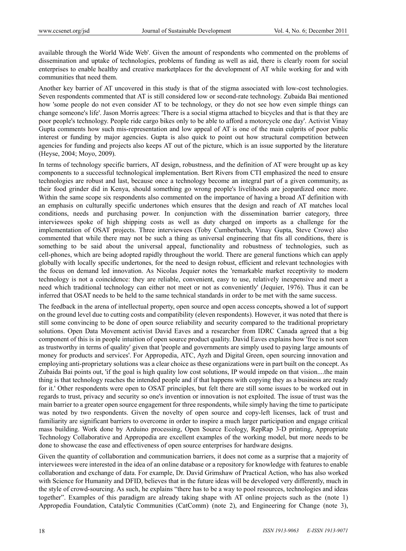available through the World Wide Web'. Given the amount of respondents who commented on the problems of dissemination and uptake of technologies, problems of funding as well as aid, there is clearly room for social enterprises to enable healthy and creative marketplaces for the development of AT while working for and with communities that need them.

Another key barrier of AT uncovered in this study is that of the stigma associated with low-cost technologies. Seven respondents commented that AT is still considered low or second-rate technology. Zubaida Bai mentioned how 'some people do not even consider AT to be technology, or they do not see how even simple things can change someone's life'. Jason Morris agrees: 'There is a social stigma attached to bicycles and that is that they are poor people's technology. People ride cargo bikes only to be able to afford a motorcycle one day'. Activist Vinay Gupta comments how such mis-representation and low appeal of AT is one of the main culprits of poor public interest or funding by major agencies. Gupta is also quick to point out how structural competition between agencies for funding and projects also keeps AT out of the picture, which is an issue supported by the literature (Heyse, 2004; Moyo, 2009).

In terms of technology specific barriers, AT design, robustness, and the definition of AT were brought up as key components to a successful technological implementation. Bert Rivers from CTI emphasized the need to ensure technologies are robust and last, because once a technology become an integral part of a given community, as their food grinder did in Kenya, should something go wrong people's livelihoods are jeopardized once more. Within the same scope six respondents also commented on the importance of having a broad AT definition with an emphasis on culturally specific undertones which ensures that the design and reach of AT matches local conditions, needs and purchasing power. In conjunction with the dissemination barrier category, three interviewees spoke of high shipping costs as well as duty charged on imports as a challenge for the implementation of OSAT projects. Three interviewees (Toby Cumberbatch, Vinay Gupta, Steve Crowe) also commented that while there may not be such a thing as universal engineering that fits all conditions, there is something to be said about the universal appeal, functionality and robustness of technologies, such as cell-phones, which are being adopted rapidly throughout the world. There are general functions which can apply globally with locally specific undertones, for the need to design robust, efficient and relevant technologies with the focus on demand led innovation. As Nicolas Jequier notes the 'remarkable market receptivity to modern technology is not a coincidence: they are reliable, convenient, easy to use, relatively inexpensive and meet a need which traditional technology can either not meet or not as conveniently' (Jequier, 1976). Thus it can be inferred that OSAT needs to be held to the same technical standards in order to be met with the same success.

The feedback in the arena of intellectual property, open source and open access concepts, showed a lot of support on the ground level due to cutting costs and compatibility (eleven respondents). However, it was noted that there is still some convincing to be done of open source reliability and security compared to the traditional proprietary solutions. Open Data Movement activist David Eaves and a researcher from IDRC Canada agreed that a big component of this is in people intuition of open source product quality. David Eaves explains how 'free is not seen as trustworthy in terms of quality' given that 'people and governments are simply used to paying large amounts of money for products and services'. For Appropedia, ATC, Ayzh and Digital Green, open sourcing innovation and employing anti-proprietary solutions was a clear choice as these organizations were in part built on the concept. As Zubaida Bai points out, 'if the goal is high quality low cost solutions, IP would impede on that vision....the main thing is that technology reaches the intended people and if that happens with copying they as a business are ready for it.' Other respondents were open to OSAT principles, but felt there are still some issues to be worked out in regards to trust, privacy and security so one's invention or innovation is not exploited. The issue of trust was the main barrier to a greater open source engagement for three respondents, while simply having the time to participate was noted by two respondents. Given the novelty of open source and copy-left licenses, lack of trust and familiarity are significant barriers to overcome in order to inspire a much larger participation and engage critical mass building. Work done by Arduino processing, Open Source Ecology, RepRap 3-D printing, Appropriate Technology Collaborative and Appropedia are excellent examples of the working model, but more needs to be done to showcase the ease and effectiveness of open source enterprises for hardware designs.

Given the quantity of collaboration and communication barriers, it does not come as a surprise that a majority of interviewees were interested in the idea of an online database or a repository for knowledge with features to enable collaboration and exchange of data. For example, Dr. David Grimshaw of Practical Action, who has also worked with Science for Humanity and DFID, believes that in the future ideas will be developed very differently, much in the style of crowd-sourcing. As such, he explains "there has to be a way to pool resources, technologies and ideas together". Examples of this paradigm are already taking shape with AT online projects such as the (note 1) Appropedia Foundation, Catalytic Communities (CatComm) (note 2), and Engineering for Change (note 3),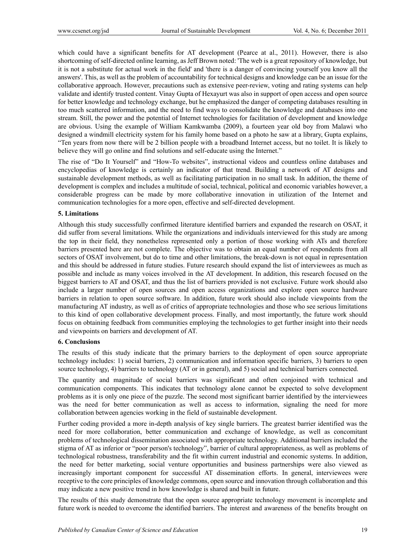which could have a significant benefits for AT development (Pearce at al., 2011). However, there is also shortcoming of self-directed online learning, as Jeff Brown noted: 'The web is a great repository of knowledge, but it is not a substitute for actual work in the field' and 'there is a danger of convincing yourself you know all the answers'. This, as well as the problem of accountability for technical designs and knowledge can be an issue for the collaborative approach. However, precautions such as extensive peer-review, voting and rating systems can help validate and identify trusted content. Vinay Gupta of Hexayurt was also in support of open access and open source for better knowledge and technology exchange, but he emphasized the danger of competing databases resulting in too much scattered information, and the need to find ways to consolidate the knowledge and databases into one stream. Still, the power and the potential of Internet technologies for facilitation of development and knowledge are obvious. Using the example of William Kamkwamba (2009), a fourteen year old boy from Malawi who designed a windmill electricity system for his family home based on a photo he saw at a library, Gupta explains, "Ten years from now there will be 2 billion people with a broadband Internet access, but no toilet. It is likely to believe they will go online and find solutions and self-educate using the Internet."

The rise of "Do It Yourself" and "How-To websites", instructional videos and countless online databases and encyclopedias of knowledge is certainly an indicator of that trend. Building a network of AT designs and sustainable development methods, as well as facilitating participation in no small task. In addition, the theme of development is complex and includes a multitude of social, technical, political and economic variables however, a considerable progress can be made by more collaborative innovation in utilization of the Internet and communication technologies for a more open, effective and self-directed development.

## **5. Limitations**

Although this study successfully confirmed literature identified barriers and expanded the research on OSAT, it did suffer from several limitations. While the organizations and individuals interviewed for this study are among the top in their field, they nonetheless represented only a portion of those working with ATs and therefore barriers presented here are not complete. The objective was to obtain an equal number of respondents from all sectors of OSAT involvement, but do to time and other limitations, the break-down is not equal in representation and this should be addressed in future studies. Future research should expand the list of interviewees as much as possible and include as many voices involved in the AT development. In addition, this research focused on the biggest barriers to AT and OSAT, and thus the list of barriers provided is not exclusive. Future work should also include a larger number of open sources and open access organizations and explore open source hardware barriers in relation to open source software. In addition, future work should also include viewpoints from the manufacturing AT industry, as well as of critics of appropriate technologies and those who see serious limitations to this kind of open collaborative development process. Finally, and most importantly, the future work should focus on obtaining feedback from communities employing the technologies to get further insight into their needs and viewpoints on barriers and development of AT.

## **6. Conclusions**

The results of this study indicate that the primary barriers to the deployment of open source appropriate technology includes: 1) social barriers, 2) communication and information specific barriers, 3) barriers to open source technology, 4) barriers to technology (AT or in general), and 5) social and technical barriers connected.

The quantity and magnitude of social barriers was significant and often conjoined with technical and communication components. This indicates that technology alone cannot be expected to solve development problems as it is only one piece of the puzzle. The second most significant barrier identified by the interviewees was the need for better communication as well as access to information, signaling the need for more collaboration between agencies working in the field of sustainable development.

Further coding provided a more in-depth analysis of key single barriers. The greatest barrier identified was the need for more collaboration, better communication and exchange of knowledge, as well as concomitant problems of technological dissemination associated with appropriate technology. Additional barriers included the stigma of AT as inferior or "poor person's technology", barrier of cultural appropriateness, as well as problems of technological robustness, transferability and the fit within current industrial and economic systems. In addition, the need for better marketing, social venture opportunities and business partnerships were also viewed as increasingly important component for successful AT dissemination efforts. In general, interviewees were receptive to the core principles of knowledge commons, open source and innovation through collaboration and this may indicate a new positive trend in how knowledge is shared and built in future.

The results of this study demonstrate that the open source appropriate technology movement is incomplete and future work is needed to overcome the identified barriers. The interest and awareness of the benefits brought on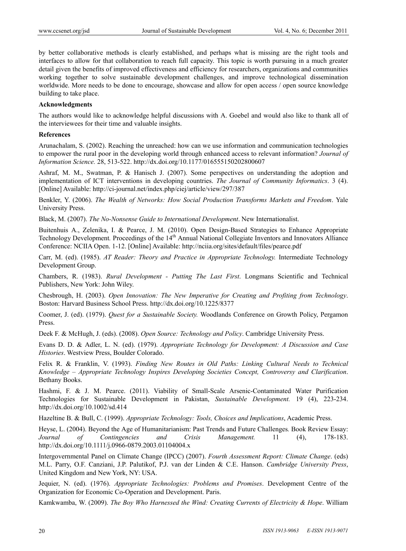by better collaborative methods is clearly established, and perhaps what is missing are the right tools and interfaces to allow for that collaboration to reach full capacity. This topic is worth pursuing in a much greater detail given the benefits of improved effectiveness and efficiency for researchers, organizations and communities working together to solve sustainable development challenges, and improve technological dissemination worldwide. More needs to be done to encourage, showcase and allow for open access / open source knowledge building to take place.

#### **Acknowledgments**

The authors would like to acknowledge helpful discussions with A. Goebel and would also like to thank all of the interviewees for their time and valuable insights.

#### **References**

Arunachalam, S. (2002). Reaching the unreached: how can we use information and communication technologies to empower the rural poor in the developing world through enhanced access to relevant information? *Journal of Information Science.* 28, 513-522. http://dx.doi.org/10.1177/016555150202800607

Ashraf, M. M., Swatman, P. & Hanisch J. (2007). Some perspectives on understanding the adoption and implementation of ICT interventions in developing countries. *The Journal of Community Informatics*. 3 (4). [Online] Available: http://ci-journal.net/index.php/ciej/article/view/297/387

Benkler, Y. (2006). *The Wealth of Networks: How Social Production Transforms Markets and Freedom*. Yale University Press.

Black, M. (2007). *The No-Nonsense Guide to International Development*. New Internationalist.

Buitenhuis A., Zelenika, I. & Pearce, J. M. (2010). Open Design-Based Strategies to Enhance Appropriate Technology Development. Proceedings of the 14<sup>th</sup> Annual National Collegiate Inventors and Innovators Alliance Conference: NCIIA Open. 1-12. [Online] Available: http://nciia.org/sites/default/files/pearce.pdf

Carr, M. (ed). (1985). *AT Reader: Theory and Practice in Appropriate Technology.* Intermediate Technology Development Group.

Chambers, R. (1983). *Rural Development - Putting The Last First*. Longmans Scientific and Technical Publishers, New York: John Wiley.

Chesbrough, H. (2003). *Open Innovation: The New Imperative for Creating and Profiting from Technology*. Boston: Harvard Business School Press. http://dx.doi.org/10.1225/8377

Coomer, J. (ed). (1979). *Quest for a Sustainable Society.* Woodlands Conference on Growth Policy, Pergamon Press.

Deek F. & McHugh, J. (eds). (2008). *Open Source: Technology and Policy*. Cambridge University Press.

Evans D. D. & Adler, L. N. (ed). (1979). *Appropriate Technology for Development: A Discussion and Case Histories*. Westview Press, Boulder Colorado.

Felix R. & Franklin, V. (1993). *Finding New Routes in Old Paths: Linking Cultural Needs to Technical Knowledge – Appropriate Technology Inspires Developing Societies Concept, Controversy and Clarification*. Bethany Books.

Hashmi, F. & J. M. Pearce. (2011). Viability of Small-Scale Arsenic-Contaminated Water Purification Technologies for Sustainable Development in Pakistan, *Sustainable Development.* 19 (4), 223-234. http://dx.doi.org/10.1002/sd.414

Hazeltine B. & Bull, C. (1999). *Appropriate Technology: Tools, Choices and Implications*, Academic Press.

Heyse, L. (2004). Beyond the Age of Humanitarianism: Past Trends and Future Challenges*.* Book Review Essay: *Journal of Contingencies and Crisis Management.* 11 (4), 178-183. http://dx.doi.org/10.1111/j.0966-0879.2003.01104004.x

Intergovernmental Panel on Climate Change (IPCC) (2007). *Fourth Assessment Report: Climate Change*. (eds) M.L. Parry, O.F. Canziani, J.P. Palutikof, P.J. van der Linden & C.E. Hanson. *Cambridge University Press*, United Kingdom and New York, NY: USA.

Jequier, N. (ed). (1976). *Appropriate Technologies: Problems and Promises*. Development Centre of the Organization for Economic Co-Operation and Development. Paris.

Kamkwamba, W. (2009). *The Boy Who Harnessed the Wind: Creating Currents of Electricity & Hope*. William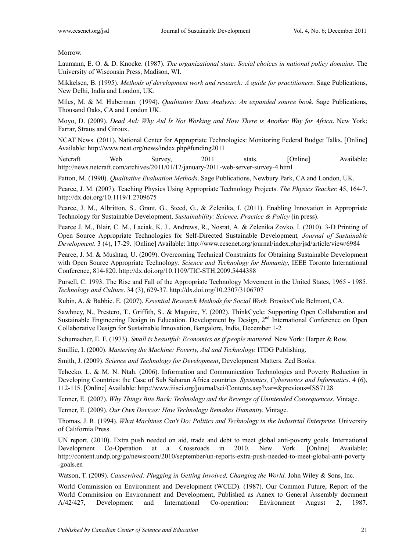Morrow.

Laumann, E. O. & D. Knocke. (1987). *The organizational state: Social choices in national policy domains.* The University of Wisconsin Press, Madison, WI.

Mikkelsen, B. (1995). *Methods of development work and research: A guide for practitioners*. Sage Publications, New Delhi, India and London, UK.

Miles, M. & M. Huberman. (1994). *Qualitative Data Analysis: An expanded source book.* Sage Publications, Thousand Oaks, CA and London UK.

Moyo, D. (2009). *Dead Aid: Why Aid Is Not Working and How There is Another Way for Africa*. New York: Farrar, Straus and Giroux.

NCAT News. (2011). National Center for Appropriate Technologies: Monitoring Federal Budget Talks. [Online] Available: http://www.ncat.org/news/index.php#funding2011

Netcraft Web Survey, 2011 stats. [Online] Available: http://news.netcraft.com/archives/2011/01/12/january-2011-web-server-survey-4.html

Patton, M. (1990). *Qualitative Evaluation Methods*. Sage Publications, Newbury Park, CA and London, UK.

Pearce, J. M. (2007). Teaching Physics Using Appropriate Technology Projects. *The Physics Teacher.* 45, 164-7. http://dx.doi.org/10.1119/1.2709675

Pearce, J. M., Albritton, S., Grant, G., Steed, G., & Zelenika, I. (2011). Enabling Innovation in Appropriate Technology for Sustainable Development, *Sustainability: Science, Practice & Policy* (in press).

Pearce J. M., Blair, C. M., Laciak, K. J., Andrews, R., Nosrat, A. & Zelenika Zovko, I. (2010). 3-D Printing of Open Source Appropriate Technologies for Self-Directed Sustainable Development*, Journal of Sustainable Development*. 3 (4), 17-29. [Online] Available: http://www.ccsenet.org/journal/index.php/jsd/article/view/6984

Pearce, J. M. & Mushtaq, U. (2009). Overcoming Technical Constraints for Obtaining Sustainable Development with Open Source Appropriate Technology*. Science and Technology for Humanity*, IEEE Toronto International Conference, 814-820. http://dx.doi.org/10.1109/TIC-STH.2009.5444388

Pursell, C. 1993. The Rise and Fall of the Appropriate Technology Movement in the United States, 1965 - 1985*. Technology and Culture*. 34 (3), 629-37. http://dx.doi.org/10.2307/3106707

Rubin, A. & Babbie. E. (2007). *Essential Research Methods for Social Work.* Brooks/Cole Belmont, CA.

Sawhney, N., Prestero, T., Griffith, S., & Maguire, Y. (2002). ThinkCycle: Supporting Open Collaboration and Sustainable Engineering Design in Education. Development by Design, 2<sup>nd</sup> International Conference on Open Collaborative Design for Sustainable Innovation, Bangalore, India, December 1-2

Schumacher, E. F. (1973). *Small is beautiful: Economics as if people mattered*. New York: Harper & Row.

Smillie, I. (2000). *Mastering the Machine: Poverty, Aid and Technology.* ITDG Publishing.

Smith, J. (2009). *Science and Technology for Development*, Development Matters. Zed Books.

Tcheeko, L. & M. N. Ntah. (2006). Information and Communication Technologies and Poverty Reduction in Developing Countries: the Case of Sub Saharan Africa countries*. Systemics, Cybernetics and Informatics*. 4 (6), 112-115. [Online] Available: http://www.iiisci.org/journal/sci/Contents.asp?var=&previous=ISS7128

Tenner, E. (2007). *Why Things Bite Back: Technology and the Revenge of Unintended Consequences.* Vintage.

Tenner, E. (2009). *Our Own Devices: How Technology Remakes Humanity.* Vintage.

Thomas, J. R. (1994). *What Machines Can't Do: Politics and Technology in the Industrial Enterprise*. University of California Press.

UN report. (2010). Extra push needed on aid, trade and debt to meet global anti-poverty goals. International Development Co-Operation at a Crossroads in 2010. New York. [Online] Available: http://content.undp.org/go/newsroom/2010/september/un-reports-extra-push-needed-to-meet-global-anti-poverty -goals.en

Watson, T. (2009). *Causewired: Plugging in Getting Involved, Changing the World.* John Wiley & Sons, Inc.

World Commission on Environment and Development (WCED). (1987). Our Common Future, Report of the World Commission on Environment and Development, Published as Annex to General Assembly document A/42/427, Development and International Co-operation: Environment August 2, 1987.